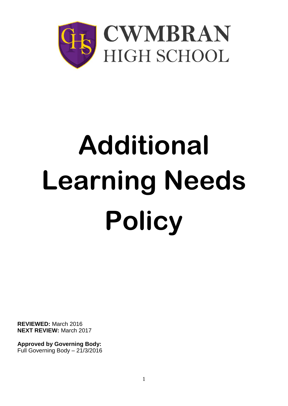

# **Additional Learning Needs Policy**

**REVIEWED:** March 2016 **NEXT REVIEW:** March 2017

**Approved by Governing Body:** Full Governing Body – 21/3/2016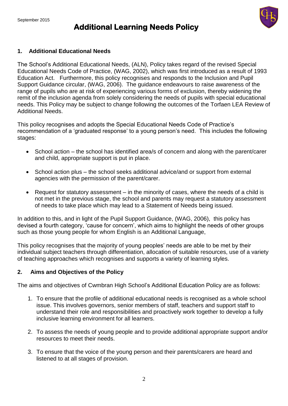# **Additional Learning Needs Policy**



#### **1. Additional Educational Needs**

The School's Additional Educational Needs, (ALN), Policy takes regard of the revised Special Educational Needs Code of Practice, (WAG, 2002), which was first introduced as a result of 1993 Education Act. Furthermore, this policy recognises and responds to the Inclusion and Pupil Support Guidance circular, (WAG, 2006). The guidance endeavours to raise awareness of the range of pupils who are at risk of experiencing various forms of exclusion, thereby widening the remit of the inclusion agenda from solely considering the needs of pupils with special educational needs. This Policy may be subject to change following the outcomes of the Torfaen LEA Review of Additional Needs.

This policy recognises and adopts the Special Educational Needs Code of Practice's recommendation of a 'graduated response' to a young person's need. This includes the following stages:

- School action the school has identified area/s of concern and along with the parent/carer and child, appropriate support is put in place.
- School action plus the school seeks additional advice/and or support from external agencies with the permission of the parent/carer.
- Request for statutory assessment in the minority of cases, where the needs of a child is not met in the previous stage, the school and parents may request a statutory assessment of needs to take place which may lead to a Statement of Needs being issued.

In addition to this, and in light of the Pupil Support Guidance, (WAG, 2006), this policy has devised a fourth category, 'cause for concern', which aims to highlight the needs of other groups such as those young people for whom English is an Additional Language,

This policy recognises that the majority of young peoples' needs are able to be met by their individual subject teachers through differentiation, allocation of suitable resources, use of a variety of teaching approaches which recognises and supports a variety of learning styles.

#### **2. Aims and Objectives of the Policy**

The aims and objectives of Cwmbran High School's Additional Education Policy are as follows:

- 1. To ensure that the profile of additional educational needs is recognised as a whole school issue. This involves governors, senior members of staff, teachers and support staff to understand their role and responsibilities and proactively work together to develop a fully inclusive learning environment for all learners.
- 2. To assess the needs of young people and to provide additional appropriate support and/or resources to meet their needs.
- 3. To ensure that the voice of the young person and their parents/carers are heard and listened to at all stages of provision.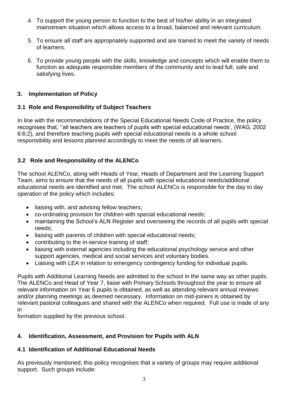- 4. To support the young person to function to the best of his/her ability in an integrated mainstream situation which allows access to a broad, balanced and relevant curriculum.
- 5. To ensure all staff are appropriately supported and are trained to meet the variety of needs of learners.
- 6. To provide young people with the skills, knowledge and concepts which will enable them to function as adequate responsible members of the community and to lead full, safe and satisfying lives.

# **3. Implementation of Policy**

# **3.1 Role and Responsibility of Subject Teachers**

In line with the recommendations of the Special Educational Needs Code of Practice, the policy recognises that, ''all teachers are teachers of pupils with special educational needs', (WAG, 2002 6:6:2), and therefore teaching pupils with special educational needs is a whole school responsibility and lessons planned accordingly to meet the needs of all learners.

# **3.2 Role and Responsibility of the ALENCo**

The school ALENCo, along with Heads of Year, Heads of Department and the Learning Support Team, aims to ensure that the needs of all pupils with special educational needs/additional educational needs are identified and met. The school ALENCo is responsible for the day to day operation of the policy which includes:

- liaising with, and advising fellow teachers;
- co-ordinating provision for children with special educational needs;
- maintaining the School's ALN Register and overseeing the records of all pupils with special needs;
- liaising with parents of children with special educational needs;
- contributing to the in-service training of staff;
- liaising with external agencies including the educational psychology service and other support agencies, medical and social services and voluntary bodies.
- Liaising with LEA in relation to emergency contingency funding for individual pupils.

Pupils with Additional Learning Needs are admitted to the school in the same way as other pupils. The ALENCo and Head of Year 7, liaise with Primary Schools throughout the year to ensure all relevant information on Year 6 pupils is obtained, as well as attending relevant annual reviews and/or planning meetings as deemed necessary. Information on mid-joiners is obtained by relevant pastoral colleagues and shared with the ALENCo when required. Full use is made of any in

formation supplied by the previous school.

# **4. Identification, Assessment, and Provision for Pupils with ALN**

# **4.1 Identification of Additional Educational Needs**

As previously mentioned, this policy recognises that a variety of groups may require additional support. Such groups include: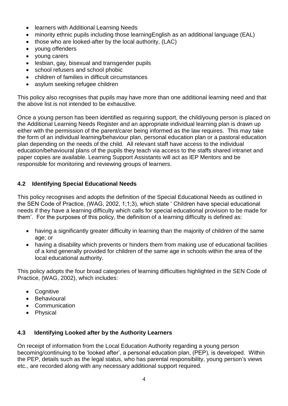- **•** learners with Additional Learning Needs
- minority ethnic pupils including those learningEnglish as an additional language (EAL)
- those who are looked-after by the local authority, (LAC)
- young offenders
- young carers
- lesbian, gay, bisexual and transgender pupils
- school refusers and school phobic
- children of families in difficult circumstances
- asylum seeking refugee children

This policy also recognises that pupils may have more than one additional learning need and that the above list is not intended to be exhaustive.

Once a young person has been identified as requiring support, the child/young person is placed on the Additional Learning Needs Register and an appropriate individual learning plan is drawn up either with the permission of the parent/carer being informed as the law requires. This may take the form of an individual learning/behaviour plan, personal education plan or a pastoral education plan depending on the needs of the child. All relevant staff have access to the individual education/behavioural plans of the pupils they teach via access to the staffs shared intranet and paper copies are available. Learning Support Assistants will act as IEP Mentors and be responsible for monitoring and reviewing groups of learners.

# **4.2 Identifying Special Educational Needs**

This policy recognises and adopts the definition of the Special Educational Needs as outlined in the SEN Code of Practice, (WAG, 2002, 1;1;3), which state ' Children have special educational needs if they have a learning difficulty which calls for special educational provision to be made for them'. For the purposes of this policy, the definition of a learning difficulty is defined as:

- having a significantly greater difficulty in learning than the majority of children of the same age; or
- having a disability which prevents or hinders them from making use of educational facilities of a kind generally provided for children of the same age in schools within the area of the local educational authority.

This policy adopts the four broad categories of learning difficulties highlighted in the SEN Code of Practice, (WAG, 2002), which includes:

- Cognitive
- Behavioural
- Communication
- Physical

# **4.3 Identifying Looked after by the Authority Learners**

On receipt of information from the Local Education Authority regarding a young person becoming/continuing to be 'looked after', a personal education plan, (PEP), is developed. Within the PEP, details such as the legal status, who has parental responsibility, young person's views etc., are recorded along with any necessary additional support required.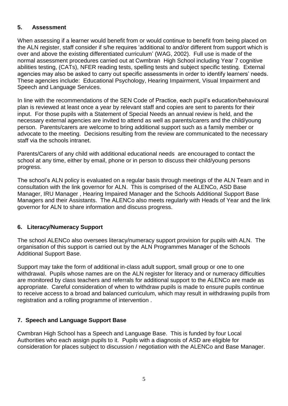### **5. Assessment**

When assessing if a learner would benefit from or would continue to benefit from being placed on the ALN register, staff consider if s/he requires 'additional to and/or different from support which is over and above the existing differentiated curriculum' (WAG, 2002). Full use is made of the normal assessment procedures carried out at Cwmbran High School including Year 7 cognitive abilities testing, (CATs), NFER reading tests, spelling tests and subject specific testing. External agencies may also be asked to carry out specific assessments in order to identify learners' needs. These agencies include: Educational Psychology, Hearing Impairment, Visual Impairment and Speech and Language Services.

In line with the recommendations of the SEN Code of Practice, each pupil's education/behavioural plan is reviewed at least once a year by relevant staff and copies are sent to parents for their input. For those pupils with a Statement of Special Needs an annual review is held, and the necessary external agencies are invited to attend as well as parents/carers and the child/young person. Parents/carers are welcome to bring additional support such as a family member or advocate to the meeting. Decisions resulting from the review are communicated to the necessary staff via the schools intranet.

Parents/Carers of any child with additional educational needs are encouraged to contact the school at any time, either by email, phone or in person to discuss their child/young persons progress.

The school's ALN policy is evaluated on a regular basis through meetings of the ALN Team and in consultation with the link governor for ALN. This is comprised of the ALENCo, ASD Base Manager, IRU Manager , Hearing Impaired Manager and the Schools Additional Support Base Managers and their Assistants. The ALENCo also meets regularly with Heads of Year and the link governor for ALN to share information and discuss progress.

#### **6. Literacy/Numeracy Support**

The school ALENCo also oversees literacy/numeracy support provision for pupils with ALN. The organisation of this support is carried out by the ALN Programmes Manager of the Schools Additional Support Base.

Support may take the form of additional in-class adult support, small group or one to one withdrawal. Pupils whose names are on the ALN register for literacy and or numeracy difficulties are monitored by class teachers and referrals for additional support to the ALENCo are made as appropriate. Careful consideration of when to withdraw pupils is made to ensure pupils continue to receive access to a broad and balanced curriculum, which may result in withdrawing pupils from registration and a rolling programme of intervention .

#### **7. Speech and Language Support Base**

Cwmbran High School has a Speech and Language Base. This is funded by four Local Authorities who each assign pupils to it. Pupils with a diagnosis of ASD are eligible for consideration for places subject to discussion / negotiation with the ALENCo and Base Manager.